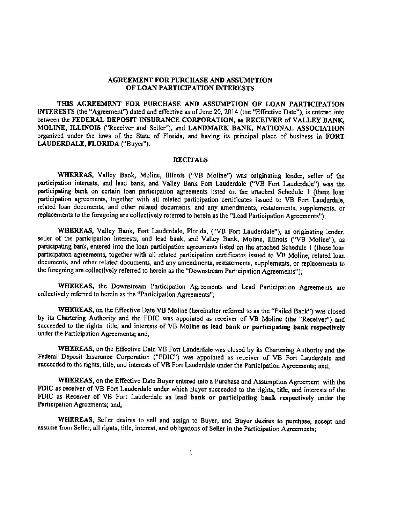### AGREEMENT FOR PURCHASE AND ASSUMPTION OF LOAN PARTICIPATION INTERESTS

TillS AGREEMENT FOR PURCHASE AND ASSUMPTION OF LOAN PARTICIPATION INTERESTS (the "Agreement") dated and effective as of June 20, 2014 (the "Effective Date"), is entered into between the FEDERAL DEPOSIT INSURANCE CORPORATION, as RECEIVER of VALLEY BANK, MOLINE, ILLINOIS ("Receiver and Seller"), ond LANDMARK BANK, NATIONAl. ASSOCIATION organized under the laws of the State of Florida, and having its principal place of business in FORT LAUDERDALE, FLORIDA ("Buyer').

### **RECITALS**

WHEREAS, Valley Bank, Moline, Illinois ("VB Moline") was originating lender, seller of the participation interests, and lead bank, and Valley Bank Fort Lauderdale ("VB Fort Lauderdale") was the participating bank on certain loan participation agreements listed on the attached Schedule 1 (these loan participation agreements, together with all related participation certificates issued to VB Fort Lauderdale, related loan documents, and other related documents, and any amendments, restatements, supplements, or replacements to the foregoing are collectively referred to herein as the "Lead Participation Agreements");

WHEREAS, Valley Bank, Fort Lauderdale, Florida, ("VB Fort Lauderdale"), as originating lender, seller of the participation interests, and lead bank, and Valley Bank, Moline, Illinois ("VB Moline"), as participating bank, entered into the loan participation agreements listed on the attached Schedule 1 (those loan participation agreements, together with all related participation certificates issued to VB Moline, related Joan documents, and other related documents, and any amendments, restatements, supplements, or replacements to the foregoing are collectively referred to herein as the "Downstream Participation Agreements");

WHEREAS, the Downstream Participation Agreements and Lead Participation Agreements are collectively referred to herein as the "Participation Agreements";

WHEREAS, on the Effective Date VB Moline (hereinafter referred to as the "Failed Bank") was closed by its Chartering Authority and the FDIC was appointed as receiver of VB Moline (the "Receiver") and succeeded to the rights, title, and interests of VB Moline as lead bank or participating bank respectively under the Participation Agreements; and,

WHEREAS, on the Effective Date VB Fort Lauderdale was closed by its Chartering Authority and the Federal Deposit Insurance Corporation ("FDIC") was appointed as receiver of VB Fort Lauderdale and succeeded to the rights, title, and interests of VB Fort Lauderdale under the Participation Agreements; and,

WHEREAS, on the Effective Date Buyer entered into a Purchase and Assumption Agreement with the FDIC as receiver of VB Fort Lauderdale under which Buyer succeeded to the rights, title, and interests of the FDIC as Receiver of VB Fort Lauderdale as lead bank or participating bank respectively under the Participation Agreements; and,

WHEREAS, Seller desires to sell and assign to Buyer, and Buyer desires to purchase, accept and assume from Seller, all rights, title, interest, and obligations of Seller in the Participation Agreements;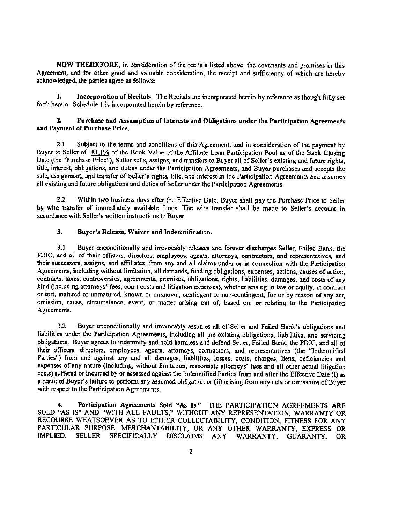NOW THEREFORE, in considemtion of the recitals listed above, the covenants and promises in this Agreement, and for other good and valuable consideration, the receipt and sufficiency of which are hereby acknowledged, the parties agree as follows:

1. Incorporation of Recitals. The Recitals are incorporated herein by reference as though fully set forth herein. Schedule 1 is incorporated herein by reference.

## 2. Purchase and Assumption of Interests and Obligations under the Participation Agreements and Payment of Purchase Price.

2.1 Subject to the terms and conditions of this Agreement, and in consideration of the payment by Buyer to Seller of 81.1% of the Book Value of the Affiliate Loan Participation Pool as of the Bank Closing Date (the "Purchase Price"), Seller sells, assigns, and transfers to Buyer all of Seller's existing and future rights, title, interest, obligations, and duties under the Participation Agreements, and Buyer purchases and accepts the sale, assignment. and transfet of Seller's rights, title, and interest in the Participation Agreements and assumes all existing and future obligations and duties of Seller under the Participation Agreements,

2.2 Within two business days after the Effective Date, Buyer shall pay the Purchase Price to Seller by wire transfer of immediately available funds. The wire transfer shall be made to Seller's account in accordance with Seller's written instructions to Buyer.

### 3. Buyer's Release, Waiver and Indemnification.

3.1 Buyer unconditionally and irrevocably releases and forever discharges Seller, Failed Bank, the FDIC, and all of their officers, directors, employees, agents, attorneys, contractors, and representatives, and their successors, assigns, and affiliates, from any and all claims under or in connection with the Participation Agreements, including without limitation, all demands, funding obligations, expenses, actions, causes of action, contracts, taxes, controversies, agreements, promises, obligations, rights, liabilities, damages, and costs of any kind (including attorneys' fees, court costs and litigation expenses), whether arising in law or equity, in contract or tort, matured or unmatured, known or unknown, contingent or non-contingent, for or by reason of any act, omission, cause, circumstance, event, or matter arising out of, based on, or relating to the Participation Agreements.

3.2 Buyer unconditionally and irrevocably assumes all of Seller and Failed Bank's obligations and liabilities under the Participation Agreements, including all pre-existing obligations, liabilities, and servicing obligations. Buyer agrees to indemnify and hold harmless and defend Seller, Failed Bank, the FDIC, and all of their officers, directors, employees, agents, attorneys, contractors, and representatives (the "Indemnified Parties") from and against any and all damages, liabilities, losses, costs, charges, liens, deficiencies and expenses of any nature (including, without limitation, reasonable attorneys' fees and all other actual litigation costs) suffered or incurred by or assessed against the Indemnified Parties from and after the Effective Date (i) as a result of Buyer's failure to perform any assumed obligation or (ii) arising from any acts or omissions of Buyer with respect to the Participation Agreements.

4. Participation Agreements Sold "As Is." THE PARTICIPATION AGREEMENTS ARE SOLD "AS IS" AND "WITH ALL FAULTS," WITHOUT ANY REPRESENTATION, WARRANTY OR RECOURSE WHATSOEVER AS TO EITHER COLLECTABILITY. CONDITION, FITNESS FOR ANY PARTICULAR PURPOSE, MERCHANTABILITY, OR ANY OTHER WARRANTY, EXPRESS OR IMPLIED. SELLER SPECIFICALLY DISCLAIMS ANY WARRANTY, GUARANTY, OR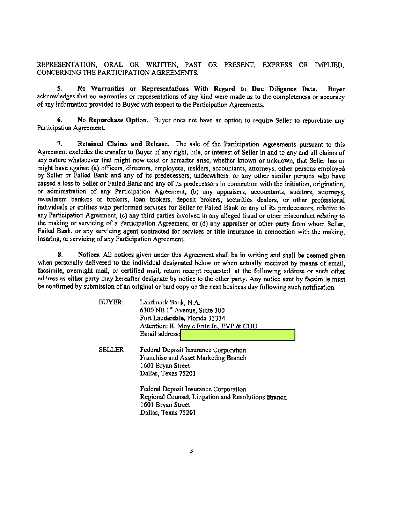REPRESENTATION, ORAL OR WRITTEN, PAST OR PRESENT, EXPRESS OR IMPLIED, CONCERNING THE PARTICIPATION AGREEMENTS.

5. No Warranties or Representations With Regard to Due Diligence Data. Buver acknowledges that no warranties or representations of any kind were made as to the completeness or accuracy of any information provided to Buyer with respect to the Participation Agreements.

No Repurchase Option. Buyer does not have an option to require Seller to repurchase any 6. Participation Agreement.

7. Retained Claims and Release. The sale of the Participation Agreements pursuant to this Agreement excludes the transfer to Buyer of any right, title, or interest of Seller in and to any and all claims of any nature whatsoever that might now exist or hereafter arise, whether known or unknown, that Seller has or might have against (a) officers, directors, employees, insiders, accountants, attorneys, other persons employed by Seller or Failed Bank and any of its predecessors, underwriters, or any other similar persons who have caused a loss to Seller or Failed Bank and any of its predecessors in connection with the initiation, origination, or administration of any Participation Agreement, (b) any appraisers, accountants, auditors, attorneys, investment bankers or brokers, loan brokers, deposit brokers, securities dealers, or other professional individuals or entities who performed services for Seller or Failed Bank or any of its predecessors, relative to any Participation Agreement, (c) any third parties involved in any alleged fraud or other misconduct relating to the making or servicing of a Participation Agreement, or (d) any appraiser or other party from whom Seller, Failed Bank, or any servicing agent contracted for services or title insurance in connection with the making. insuring, or servicing of any Participation Agreement.

8. Notices. All notices given under this Agreement shall be in writing and shall be deemed given when personally delivered to the individual designated below or when actually received by means of email. facsimile, overnight mail, or certified mail, return receipt requested, at the following address or such other address as either party may hereafter designate by notice to the other party. Any notice sent by facsimile must be confirmed by submission of an original or hard copy on the next business day following such notification.

| <b>BUYER:</b> | Landmark Bank, N.A.<br>6300 NE 1 <sup>st</sup> Avenue, Suite 300<br>Fort Lauderdale, Florida 33334<br>Attention: R. Moyle Fritz Jr., EVP & COO |  |  |
|---------------|------------------------------------------------------------------------------------------------------------------------------------------------|--|--|
|               | Email address:                                                                                                                                 |  |  |
| SELLER:       | Federal Deposit Insurance Corporation<br>Franchise and Asset Marketing Branch<br>1601 Bryan Street<br>Dallas, Texas 75201                      |  |  |
|               | Federal Deposit Insurance Corporation<br>Regional Counsel, Litigation and Resolutions Branch<br>1601 Bryan Street<br>Dallas, Texas 75201       |  |  |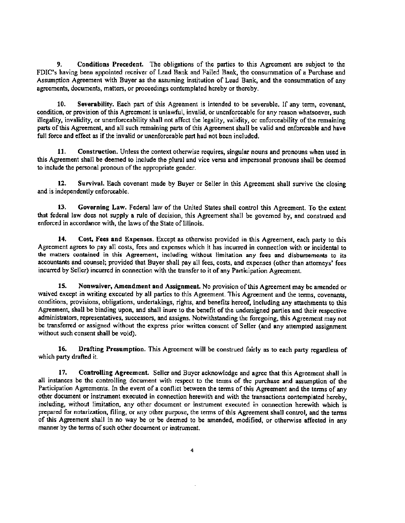9. Conditions Precedent. The obligations of the parties to this Agreement arc subject to the FDIC's having been appointed receiver of Lead Bank and Failed Bank, the consummation of a Purchase and Assumption Agreement with Buyer as the assuming institution of Lead Bank, and the consummation of any agreements, documents, matters, or proceedings contemplated hereby or thereby.

10. Severability. Each part of this Agreement is intended to be severable. If any term, covenant, condition, or provision of this Agreement is unlawful, invalid, or unenforceable for any reason whatsoever, such illegality, invalidity, or unenforceability shall not affect the legality, validity, or enforceability of the remaining parts of this Agreement, and all such remaining parts of this Agreement shall be valid and enforceable and have full force and effect as if the invalid or unenforceable part had not been included.

11. Construction. Unless the context otherwise requires, singular nouns and pronouns when used in this Agreement shall be deemed to include the plural and vice versa and impersonal pronouns shall be deemed to include the personal pronoun of the appropriate gender.

12. Survival. Each covenant made by Buyer or Seller in this Agreement shall survive the closing and is independently enforceable.

13. Governing Law. Federal law of the United States shall control this Agreement. To the extent that federal law does not supply a rule of decision, this Agreement shall be governed by, and construed and enforced in accordance with, the laws of the State of Illinois.

14. Cost, Fees and Expenses. Except as otherwise provided in this Agreement, each party to this Agreement agrees to pay all costs, fees and expenses which it has incurred in connection with or incidental to the matters contained in this Agreement, including without limitation any fees and disbursements to its accountants and counsel; provided that Buyer shall pay all fees, costs, and expenses (other than attorneys' fees incurred by Seller) incurred in connection with the transfer to it of any Pacticipation Agreement.

15. Nonwaiver, Amendment and Assignment. No provision of this Agreement may be amended or waived except in writing executed by all parties to this Agreement. This Agreement and the terms, covenants, conditions, provisions, obligations, undertakings, rights, and benefits hereof, including any attachments to this Agreement, shall be binding upon, and shall inure to the benefit of the undersigned parties and their respective administrators, representatives, suceessors, and assigns. Notwithstanding the foregoing, this Agreement may not be transferred or assigned without the express prior written consent of Seller (and any attempted assignment without such consent shall be void).

16. Drafting Presumption. This Agreement will be construed fairly as to each party regardless of which party drafted it.

17. Controlling Agreement. Seller and Buyer acknowledge and agree that this Agreement shall in all instances be the controlling document with respect to the terms of the purchase and assumption of the Participation Agreements. In the event of a conflict between the terms of this Agreement and the terms of any other document or instrument executed in connection herewith and with the transactions contemplated hereby, including, without limitation, any other document or instrument executed in connection herewith which is prepared for notarization, filing, or any other purpose, the terms of this Agreement shall control, and the terms of this Agreement shall in no way be or be deemed to be amended, modified, or otherwise affected in any manner by the tenns of such other document or instrument.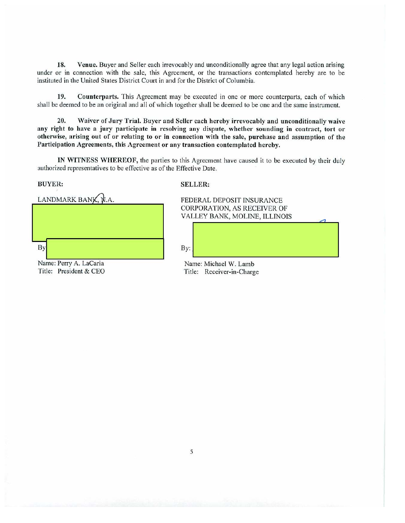18. Venue. Buyer and Seller each irrevocably and unconditionally agree that any legal action arising under or in connection with the sale, this Agreement, or the transactions contemplated hereby are to be instituted in the United States District Court in and for the District of Columbia.

19. Counterpnrts. This Agreement may be executed in one or more counterparts, each of which shall be deemed to be an original and all of which together shall be deemed to be one and the same instrument.

20. Waiver of Jury Trial. Buyer and Seller each hereby irrevocably and unconditionally waive any right to have a jury participate in resolving any dispute, whether sounding in contract, tort or otherwise, arising out of or relating to or in connection with the sale, purchase and assumption of the Participation Agreements, this Agreement or any transaction contemplated hereby.

lN WITNESS WHEREOF, the parties to this Agreement have caused it to be executed by their duly authorized representatives to be effective as of the Effective Date.

BUYER: SELLER:

|    | LANDMARK BANK, N.A. |  |  |
|----|---------------------|--|--|
|    |                     |  |  |
|    |                     |  |  |
| Вy |                     |  |  |

FEDERAL DEPOSIT INSURANCE CORPORATION, AS RECEIVER OF VALLEY BANK, MOLINE, fLLINOlS

 $\triangle$ 

By:  $\begin{bmatrix} \mathbf{Byz} \end{bmatrix}$ 

Name: Perry A. LaCaria Name: Michael W. Lamb<br>Title: President & CEO Title: Receiver-in-Charge Title: Receiver-in-Charge